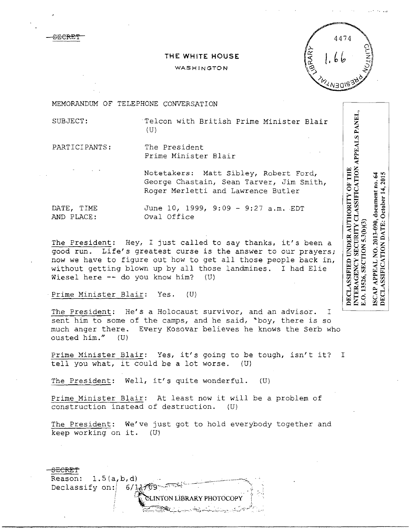SECRE'f

## **THE WHITE HOUSE**

## WASHINGTON

4474

MEMORANDUM OF TELEPHONE CONVERSATION

SUBJECT: Telcon with British Prime Minister Blair (U)

PAR TICIPANTS: The President Prime Minister Blair

> Notetakers: Matt Sibley, Robert Ford, George Chastain, Sean Tarver, Jim Smith, Roger Merletti and Lawrence Butler

DATE, TIME June 10, 1999, 9:09 - 9:27 a.m. EDT AND PLACE: Oval Office

The President: Hey, I just called to say thanks, it's been a good run. Life's greatest curse is the answer to our prayers; now we have to figure out how to get all those people back in, without getting blown up by all those landmines. I had Elie Wiesel here  $--$  do you know him? (U)

Prime Minister Blair: Yes. (U)

The President: He's a Holocaust survivor, and an advisor. I sent him to some of the camps, and he said, "boy, there is so much anger there. Every Kosovar believes he knows the Serb who ousted him." (U)

Prime Minister Blair: Yes, it's going to be tough, isn't it? I tell you what, it could be a lot worse. (U)

The President: Well, it's quite wonderful. (U)

Prime Minister Blair: At least now it will be a problem of construction instead of destruction. (U)

The President: We've just got to hold everybody together and keep working on it. (U)



ISCAP APPEAL NO. 2013-090, document no. 64<br>DECLASSIFICATION DATE: October 14, 2015 E.O. 13526, SECTION 5.3(b)(3)

INTERAGENCY SECURITY CLASSIFICATION APPEALS PANEL

DECLASSIFIED UNDER AUTHORITY OF THE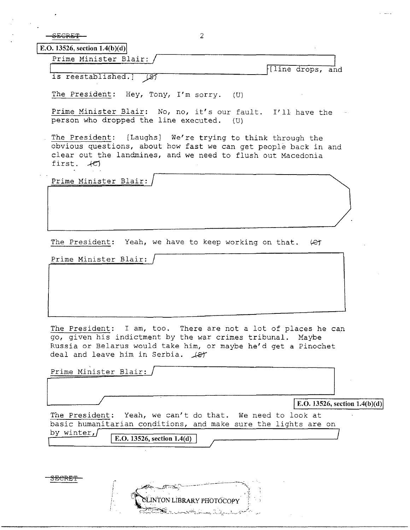SECRET 2

 $E. O. 13526, section 1.4(b)(d)$ 

Prime Minister Blair:

is reestablished.]  $\sqrt{s}$   $\sqrt{s}$ 

The President: Hey, Tony, I'm sorry. (U)

Prime Minister Blair: No, no, it's our fault. I'll have the person who dropped the line executed.

The President: [Laughs] We're trying to think through the obvious questions, about how fast we can get people back in and clear out the landmines, and we need to flush out Macedonia first.  $+C$ 

Prime Minister Blair:

The President: Yeah, we have to keep working on that. (et

Prime Minister Blair:

.~ '

The President: I am, too. There are not a lot of places he can go, given his indictment by the war crimes tribunal. Maybe Russia or Belarus would take him, or maybe he'd get a Pinochet deal and leave him in Serbia.  $\cancel{487}$ 

Prime Minister Blair:  $E.D. 13526$ , section  $1.4(b)(d)$ The President: Yeah, we can't do that. We need to look at basic humanitarian conditions, and make sure the lights are on by winter,  $\boxed{\text{E.O. 13526, section 1.4(d)}}$ by winter,/ ~~~~~~~ 3ECRET 75 . . . . X

LINTON LIBRARY PHOTOCOPY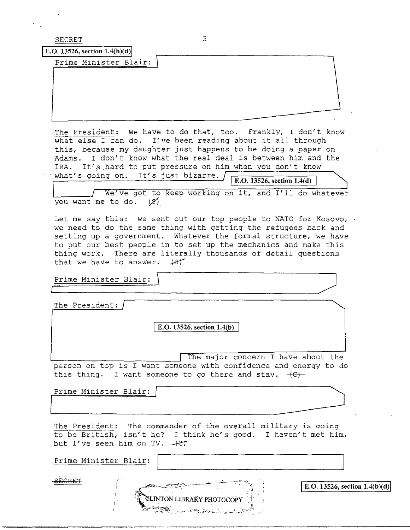SECRET 3

**E.O.** 13526, section  $1.4(b)(d)$ 

Prime Minister Blair:

The President: We have to do that, too. Frankly, I don't know what else I can do. I've been reading about it all through this, because my daughter just happens to be doing a paper on Adams. I don't know what the real deal is between him and the IRA. It's hard to put pressure on him when you don't know what's going on. It's just bizarre.  $\sqrt{\frac{E. O. 13526, \text{ section } 1.4(d)}{E. Q. 13526, \text{ section } 1.4(d)}}$ 

We've got to keep working on it, and I'll do whatever you want me to do.  $(8)$ 

Let me say this: we sent out our top people to NATO for Kosovo, . we need to do the same thing with getting the refugees back and setting up a government. Whatever the formal structure, we have to put our best people in to set up the mechanics and make this thing work. There are literally thousands of detail questions that we have to answer.  $\sqrt{81}$ Thing work. There are literarly chousands of detail questions<br>that we have to answer.  $487$ <br>Prime Minister Blair:

The President:

I **E.O. 13526, section 1.4(b)** 

The major concern I have about the person on top is I want someone with confidence and energy to do this thing. I want someone to go there and stay.  $+C$ + The major concern I have above person on top is I want someone with confidence and energ<br>this thing. I want someone to go there and stay. (C)-<br>Prime Minister Blair:<br>The President: The commander of the overall military is<br>t

Prime Minister Blair:

The President: The commander of the overall military is going to be British, isn't h\_e? I think he's good. I haven't met him, but I've seen him on TV.  $+e^{+}$ 

Prime Minister Blair: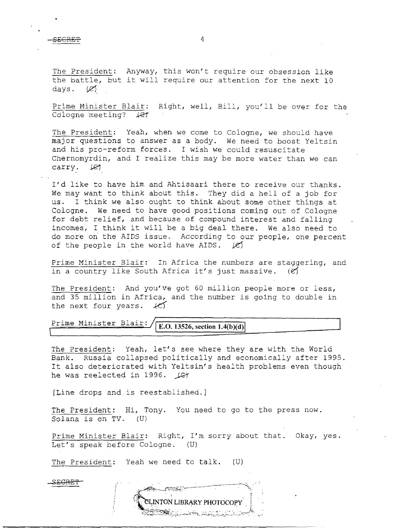SECRET 4

The President: Anyway, this won't require our obsession like The <u>Freshaene</u>. They way, this won't require our obsession like the battle, but it will require our attention for the next 10 days.  $(\mathscr{C})$ .

Prime Minister Blair: Right, well, Bill, you'll be over for the Cologne meeting? Let

The President: Yeah, when we come to Cologne, we should have major questions to answer as a body. We need to boost Yeltsin and his pro-reform forces. I wish we could resuscitate Chernomyrdin, and I realize this may be more water than we can carry.  $\mathcal{L}$ 

I'd like to have him and Ahtisaari there to receive our thanks. We may want to think about this. They did a hell of a job for us. I think we also ought to think about some other things at Cologne. We need to have good positions coming out of Cologne for debt relief, and because of compound interest and falling incomes, I think it will be a big deal there. We also need to do more on the AIDS issue. According to our people, one percent of the people in the world have AIDS.  $\cancel{(e)}$ 

Prime Minister Blair: In Africa the numbers are staggering, and in a country like South Africa it's just massive.  $(e)$ 

The President: And you've got 60 million people more or less, and 35 million in Africa, and the number is going to double in the next four years. *kC)* 

## Prime Minister Blair: **E.O. 13526**, section 1.4(b)(d)

The President: Yeah, let's see where they are with the World Bank. Russia collapsed politically and economically after .1995. It also deteriorated with Yeltsin's health problems even though he was reelected in 1996.  $\sqrt{c}$ 

[Line drops and is reestablished.]

The President: Hi, Tony. You need to go to the press now. Solana is on TV. (U)

Prime Minister Blair: Right, I'm sorry about that. Okay, yes. Let's speak before Cologne. (U)

The President: Yeah we need to talk. (U)

£ECRE'f